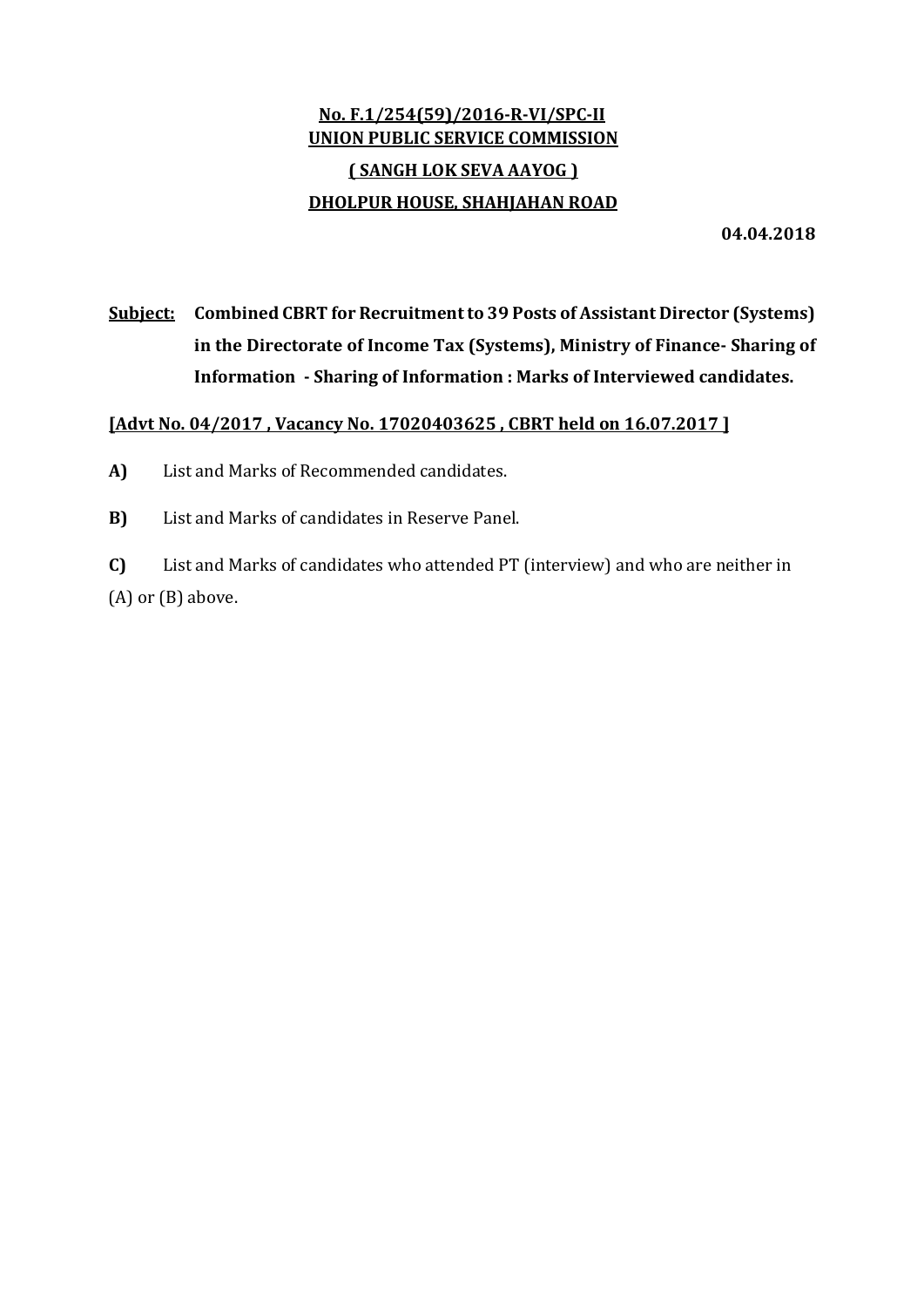## No. F.1/254(59)/2016-R-VI/SPC-II UNION PUBLIC SERVICE COMMISSION ( SANGH LOK SEVA AAYOG ) DHOLPUR HOUSE, SHAHJAHAN ROAD

04.04.2018

# Subject: Combined CBRT for Recruitment to 39 Posts of Assistant Director (Systems) in the Directorate of Income Tax (Systems), Ministry of Finance- Sharing of Information - Sharing of Information : Marks of Interviewed candidates.

## [Advt No. 04/2017 , Vacancy No. 17020403625 , CBRT held on 16.07.2017 ]

A) List and Marks of Recommended candidates.

B) List and Marks of candidates in Reserve Panel.

C) List and Marks of candidates who attended PT (interview) and who are neither in (A) or (B) above.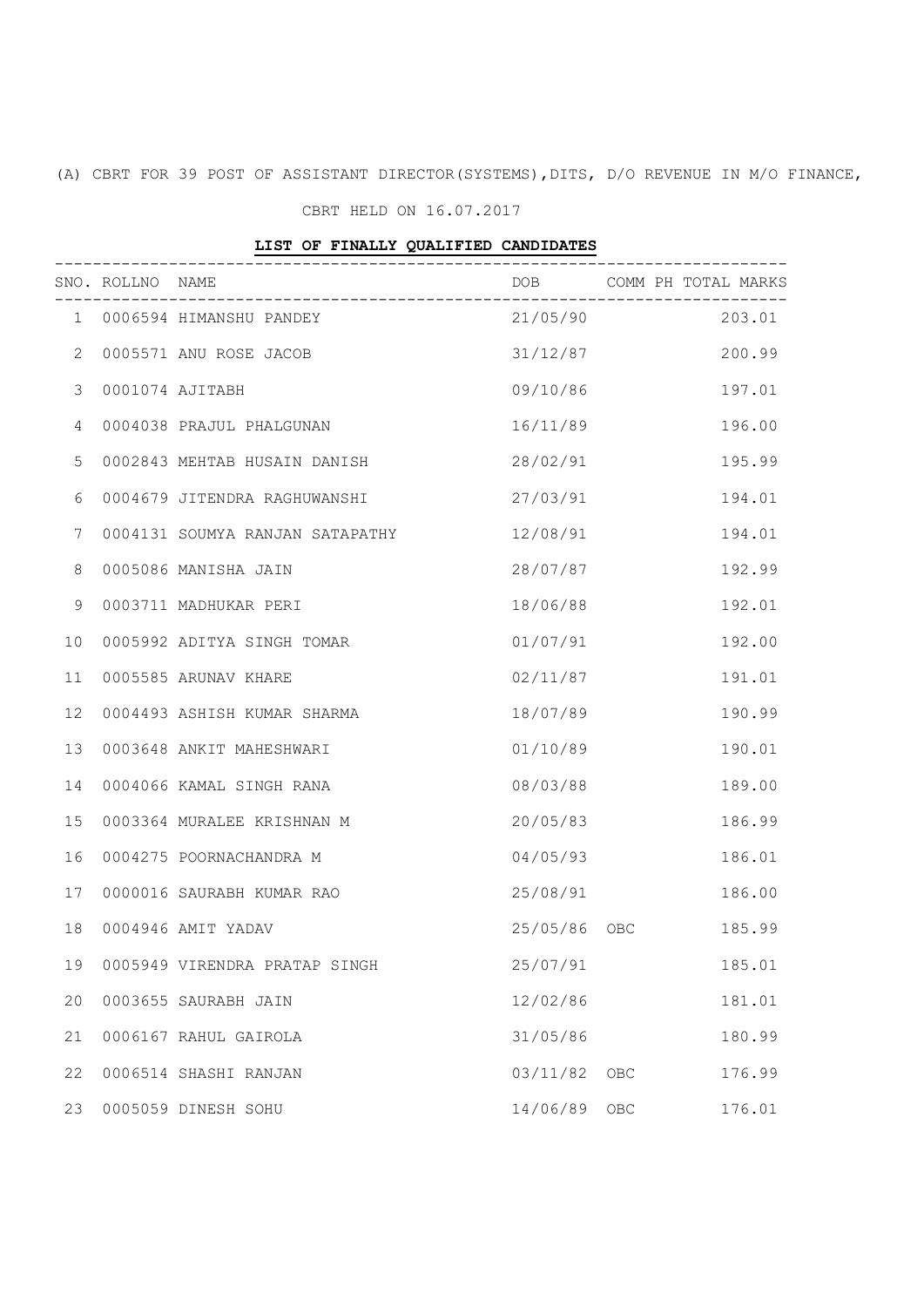(A) CBRT FOR 39 POST OF ASSISTANT DIRECTOR(SYSTEMS),DITS, D/O REVENUE IN M/O FINANCE,

### CBRT HELD ON 16.07.2017

#### LIST OF FINALLY QUALIFIED CANDIDATES

|                | SNO. ROLLNO NAME |                                 |                   |            | DOB COMM PH TOTAL MARKS |
|----------------|------------------|---------------------------------|-------------------|------------|-------------------------|
|                |                  | 1 0006594 HIMANSHU PANDEY       | $21/05/90$ 203.01 |            |                         |
| $\mathbf{2}$   |                  | 0005571 ANU ROSE JACOB          | 31/12/87          |            | 200.99                  |
| 3              |                  | 0001074 AJITABH                 | 09/10/86          |            | 197.01                  |
| $\overline{4}$ |                  | 0004038 PRAJUL PHALGUNAN        | 16/11/89          |            | 196.00                  |
| 5              |                  | 0002843 MEHTAB HUSAIN DANISH    | 28/02/91          |            | 195.99                  |
| 6              |                  | 0004679 JITENDRA RAGHUWANSHI    | 27/03/91          |            | 194.01                  |
| 7              |                  | 0004131 SOUMYA RANJAN SATAPATHY | 12/08/91          |            | 194.01                  |
| 8              |                  | 0005086 MANISHA JAIN            | 28/07/87          |            | 192.99                  |
| 9              |                  | 0003711 MADHUKAR PERI           | 18/06/88          |            | 192.01                  |
| 10             |                  | 0005992 ADITYA SINGH TOMAR      | 01/07/91          |            | 192.00                  |
| 11             |                  | 0005585 ARUNAV KHARE            | 02/11/87          |            | 191.01                  |
| 12             |                  | 0004493 ASHISH KUMAR SHARMA     | 18/07/89          |            | 190.99                  |
| 13             |                  | 0003648 ANKIT MAHESHWARI        | 01/10/89          |            | 190.01                  |
| 14             |                  | 0004066 KAMAL SINGH RANA        | 08/03/88          |            | 189.00                  |
| 15             |                  | 0003364 MURALEE KRISHNAN M      | 20/05/83          |            | 186.99                  |
| 16             |                  | 0004275 POORNACHANDRA M         | 04/05/93          |            | 186.01                  |
| 17             |                  | 0000016 SAURABH KUMAR RAO       | 25/08/91          |            | 186.00                  |
| 18             |                  | 0004946 AMIT YADAV              | 25/05/86          | OBC        | 185.99                  |
| 19             |                  | 0005949 VIRENDRA PRATAP SINGH   | 25/07/91          |            | 185.01                  |
| 20             |                  | 0003655 SAURABH JAIN            | 12/02/86          |            | 181.01                  |
| 21             |                  | 0006167 RAHUL GAIROLA           | 31/05/86          |            | 180.99                  |
| 22             |                  | 0006514 SHASHI RANJAN           | 03/11/82          | <b>OBC</b> | 176.99                  |
| 23             |                  | 0005059 DINESH SOHU             | 14/06/89          | OBC        | 176.01                  |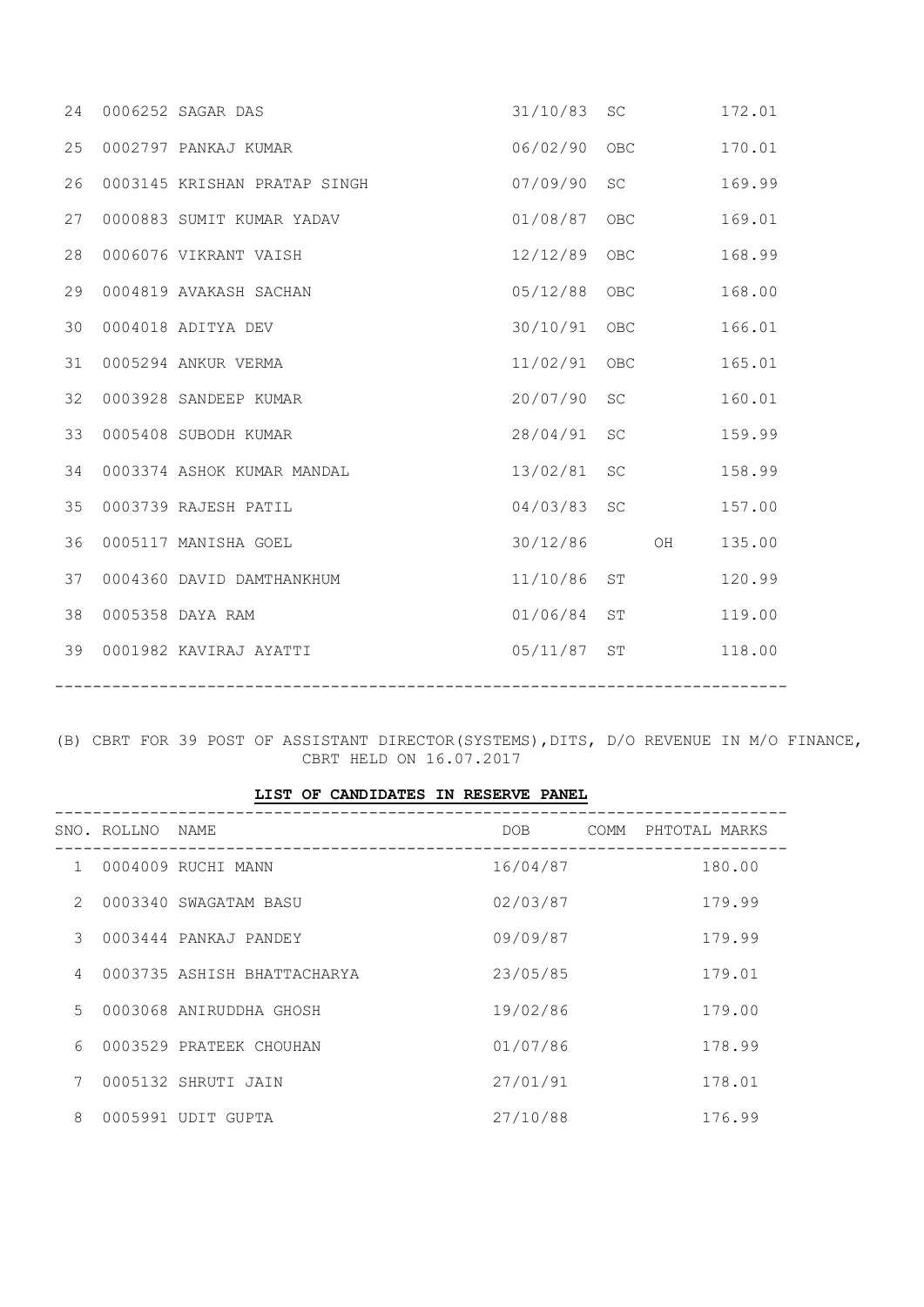| 24 | 0006252 SAGAR DAS            | 31/10/83 | SC                  |    | 172.01 |
|----|------------------------------|----------|---------------------|----|--------|
| 25 | 0002797 PANKAJ KUMAR         | 06/02/90 | OBC                 |    | 170.01 |
| 26 | 0003145 KRISHAN PRATAP SINGH | 07/09/90 | <b>SC</b>           |    | 169.99 |
| 27 | 0000883 SUMIT KUMAR YADAV    | 01/08/87 | OBC                 |    | 169.01 |
| 28 | 0006076 VIKRANT VAISH        | 12/12/89 | <b>OBC</b>          |    | 168.99 |
| 29 | 0004819 AVAKASH SACHAN       | 05/12/88 | OBC                 |    | 168.00 |
| 30 | 0004018 ADITYA DEV           | 30/10/91 | <b>OBC</b>          |    | 166.01 |
| 31 | 0005294 ANKUR VERMA          | 11/02/91 | <b>OBC</b>          |    | 165.01 |
| 32 | 0003928 SANDEEP KUMAR        | 20/07/90 | <b>SC</b>           |    | 160.01 |
| 33 | 0005408 SUBODH KUMAR         | 28/04/91 | <b>SC</b>           |    | 159.99 |
| 34 | 0003374 ASHOK KUMAR MANDAL   | 13/02/81 | $\operatorname{SC}$ |    | 158.99 |
| 35 | 0003739 RAJESH PATIL         | 04/03/83 | <b>SC</b>           |    | 157.00 |
| 36 | 0005117 MANISHA GOEL         | 30/12/86 |                     | OH | 135.00 |
| 37 | 0004360 DAVID DAMTHANKHUM    | 11/10/86 | <b>ST</b>           |    | 120.99 |
| 38 | 0005358 DAYA RAM             | 01/06/84 | <b>ST</b>           |    | 119.00 |
| 39 | 0001982 KAVIRAJ AYATTI       | 05/11/87 | ST                  |    | 118.00 |

(B) CBRT FOR 39 POST OF ASSISTANT DIRECTOR(SYSTEMS),DITS, D/O REVENUE IN M/O FINANCE, CBRT HELD ON 16.07.2017

|                |                  | LIST OF CANDIDATES IN RESERVE PANEL |                  |                       |
|----------------|------------------|-------------------------------------|------------------|-----------------------|
|                | SNO. ROLLNO NAME |                                     | DOB <sub>a</sub> | COMM<br>PHTOTAL MARKS |
| $\mathbf{1}$   |                  | 0004009 RUCHI MANN                  | 16/04/87         | 180.00                |
| $\mathcal{P}$  |                  | 0003340 SWAGATAM BASU               | 02/03/87         | 179.99                |
| $\mathcal{S}$  |                  | 0003444 PANKAJ PANDEY               | 09/09/87         | 179.99                |
| $\overline{4}$ |                  | 0003735 ASHISH BHATTACHARYA         | 23/05/85         | 179.01                |
| $5 -$          |                  | 0003068 ANIRUDDHA GHOSH             | 19/02/86         | 179.00                |
| 6              |                  | 0003529 PRATEEK CHOUHAN             | 01/07/86         | 178.99                |
| 7              |                  | 0005132 SHRUTI JAIN                 | 27/01/91         | 178.01                |
| 8              |                  | 0005991 UDIT GUPTA                  | 27/10/88         | 176.99                |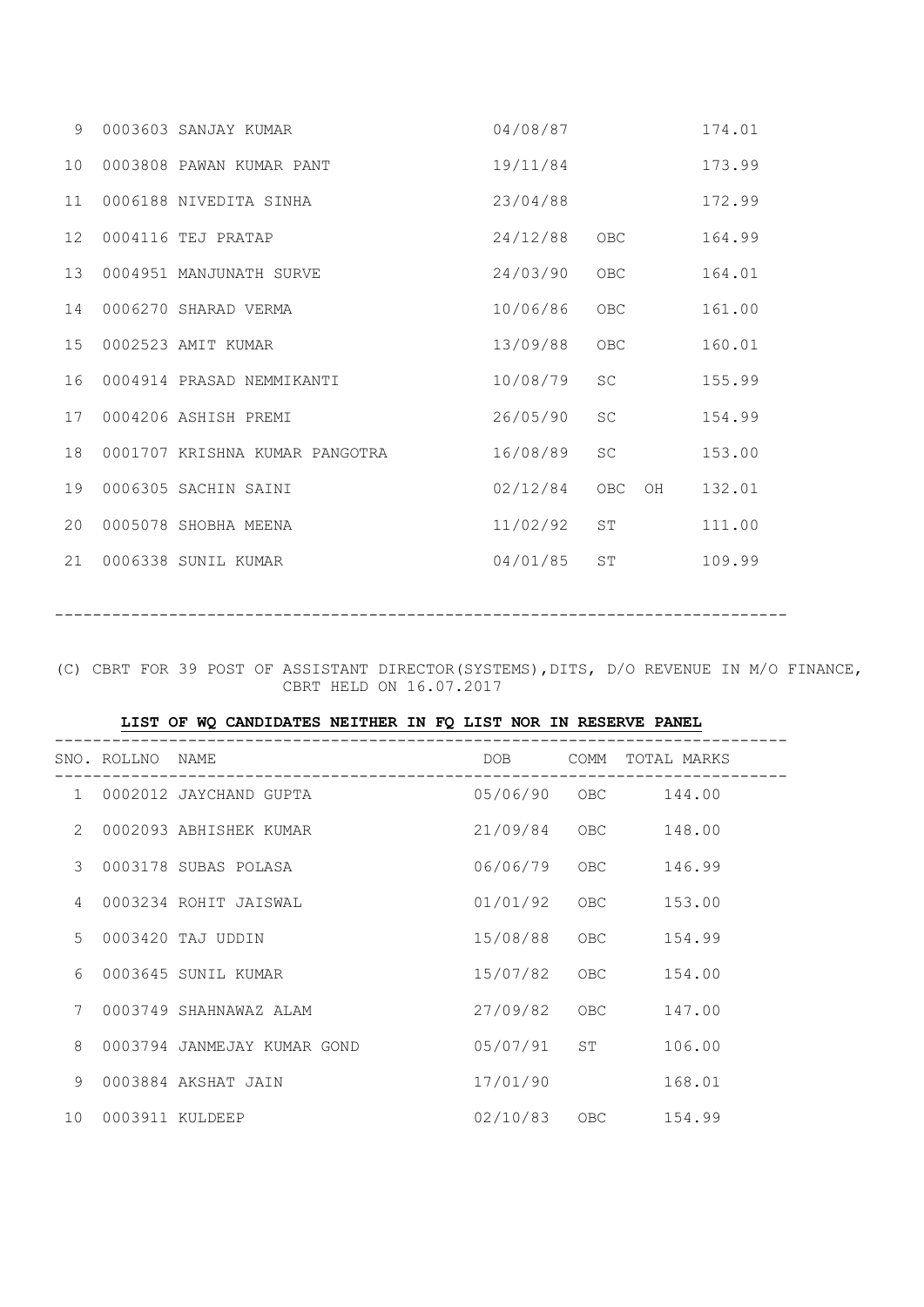| $\circ$ | 0003603 SANJAY KUMAR           | 04/08/87 |                              | 174.01 |
|---------|--------------------------------|----------|------------------------------|--------|
| 10      | 0003808 PAWAN KUMAR PANT       | 19/11/84 |                              | 173.99 |
| 11      | 0006188 NIVEDITA SINHA         | 23/04/88 |                              | 172.99 |
| 12      | 0004116 TEJ PRATAP             | 24/12/88 | <b>OBC</b>                   | 164.99 |
| 13      | 0004951 MANJUNATH SURVE        | 24/03/90 | <b>OBC</b>                   | 164.01 |
| 14      | 0006270 SHARAD VERMA           | 10/06/86 | OBC                          | 161.00 |
| 15      | 0002523 AMIT KUMAR             | 13/09/88 | ${\sf OBC}$                  | 160.01 |
| 16      | 0004914 PRASAD NEMMIKANTI      | 10/08/79 | <b>SC</b>                    | 155.99 |
| 17      | 0004206 ASHISH PREMI           | 26/05/90 | $\operatorname{SC}$          | 154.99 |
| 18      | 0001707 KRISHNA KUMAR PANGOTRA | 16/08/89 | <b>SC</b>                    | 153.00 |
| 19      | 0006305 SACHIN SAINI           | 02/12/84 | <b>OBC</b><br>O <sub>H</sub> | 132.01 |
| 20      | 0005078 SHOBHA MEENA           | 11/02/92 | ST                           | 111.00 |
| 21      | 0006338 SUNIL KUMAR            | 04/01/85 | ST                           | 109.99 |
|         |                                |          |                              |        |

-----------------------------------------------------------------------------

(C) CBRT FOR 39 POST OF ASSISTANT DIRECTOR(SYSTEMS),DITS, D/O REVENUE IN M/O FINANCE, CBRT HELD ON 16.07.2017

| LIST OF WO CANDIDATES NEITHER IN FO LIST NOR IN RESERVE PANEL |  |  |  |
|---------------------------------------------------------------|--|--|--|
|---------------------------------------------------------------|--|--|--|

|   | SNO. ROLLNO NAME   |                             | DOB <sub>a</sub> | COMM | TOTAL MARKS |
|---|--------------------|-----------------------------|------------------|------|-------------|
|   |                    | 1 0002012 JAYCHAND GUPTA    | 05/06/90 OBC     |      | 144.00      |
| 2 |                    | 0002093 ABHISHEK KUMAR      | 21/09/84         | OBC  | 148.00      |
| 3 |                    | 0003178 SUBAS POLASA        | 06/06/79         | OBC  | 146.99      |
| 4 |                    | 0003234 ROHIT JAISWAL       | 01/01/92         | OBC  | 153.00      |
| 5 |                    | 0003420 TAJ UDDIN           | 15/08/88         | OBC  | 154.99      |
| 6 |                    | 0003645 SUNIL KUMAR         | 15/07/82         | OBC  | 154.00      |
| 7 |                    | 0003749 SHAHNAWAZ ALAM      | 27/09/82         | OBC  | 147.00      |
| 8 |                    | 0003794 JANMEJAY KUMAR GOND | 05/07/91 ST      |      | 106.00      |
| 9 |                    | 0003884 AKSHAT JAIN         | 17/01/90         |      | 168.01      |
|   | 10 0003911 KULDEEP |                             | 02/10/83 OBC     |      | 154.99      |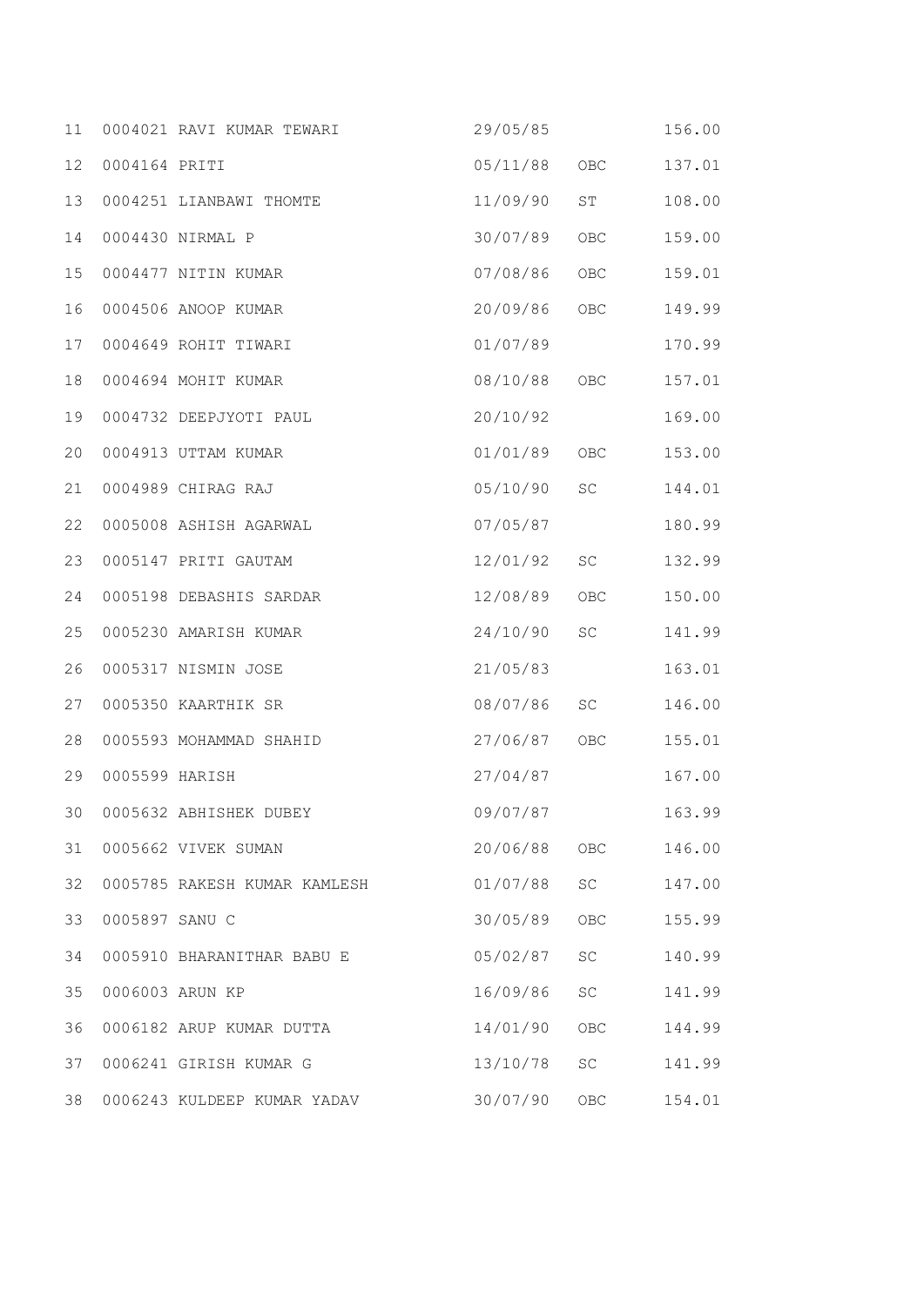| 11 |                | 0004021 RAVI KUMAR TEWARI    | 29/05/85     |                 | 156.00 |
|----|----------------|------------------------------|--------------|-----------------|--------|
| 12 | 0004164 PRITI  |                              | 05/11/88     | OBC             | 137.01 |
| 13 |                | 0004251 LIANBAWI THOMTE      | 11/09/90     | ST <sub>2</sub> | 108.00 |
| 14 |                | 0004430 NIRMAL P             | 30/07/89     | OBC             | 159.00 |
| 15 |                | 0004477 NITIN KUMAR          | 07/08/86     | OBC             | 159.01 |
| 16 |                | 0004506 ANOOP KUMAR          | 20/09/86     | OBC             | 149.99 |
| 17 |                | 0004649 ROHIT TIWARI         | 01/07/89     |                 | 170.99 |
| 18 |                | 0004694 MOHIT KUMAR          | 08/10/88     | OBC             | 157.01 |
| 19 |                | 0004732 DEEPJYOTI PAUL       | 20/10/92     |                 | 169.00 |
| 20 |                | 0004913 UTTAM KUMAR          | 01/01/89     | OBC             | 153.00 |
| 21 |                | 0004989 CHIRAG RAJ           | 05/10/90     | SC              | 144.01 |
| 22 |                | 0005008 ASHISH AGARWAL       | 07/05/87     |                 | 180.99 |
| 23 |                | 0005147 PRITI GAUTAM         | 12/01/92     | SC              | 132.99 |
| 24 |                | 0005198 DEBASHIS SARDAR      | 12/08/89     | <b>OBC</b>      | 150.00 |
| 25 |                | 0005230 AMARISH KUMAR        | 24/10/90     | SC              | 141.99 |
| 26 |                | 0005317 NISMIN JOSE          | 21/05/83     |                 | 163.01 |
| 27 |                | 0005350 KAARTHIK SR          | 08/07/86     | SC              | 146.00 |
| 28 |                | 0005593 MOHAMMAD SHAHID      | 27/06/87     | OBC             | 155.01 |
| 29 | 0005599 HARISH |                              | 27/04/87     |                 | 167.00 |
|    |                | 30 0005632 ABHISHEK DUBEY    | 09/07/87     |                 | 163.99 |
| 31 |                | 0005662 VIVEK SUMAN          | 20/06/88 OBC |                 | 146.00 |
| 32 |                | 0005785 RAKESH KUMAR KAMLESH | 01/07/88 SC  |                 | 147.00 |
| 33 | 0005897 SANU C |                              | 30/05/89     | OBC             | 155.99 |
| 34 |                | 0005910 BHARANITHAR BABU E   | 05/02/87     | SC              | 140.99 |
| 35 |                | 0006003 ARUN KP              | 16/09/86     | SC              | 141.99 |
| 36 |                | 0006182 ARUP KUMAR DUTTA     | 14/01/90     | OBC             | 144.99 |
| 37 |                | 0006241 GIRISH KUMAR G       | 13/10/78     | SC              | 141.99 |
| 38 |                | 0006243 KULDEEP KUMAR YADAV  | 30/07/90     | OBC             | 154.01 |